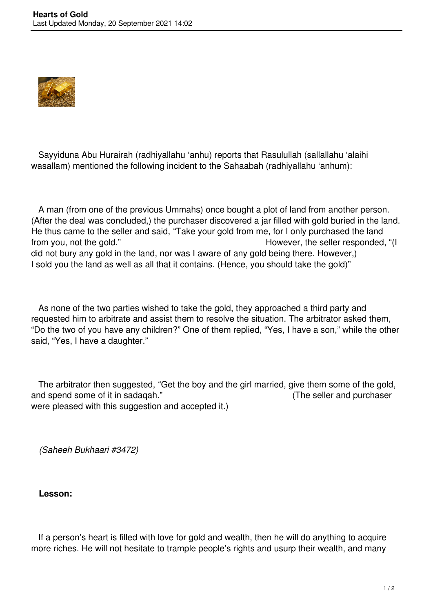

 Sayyiduna Abu Hurairah (radhiyallahu 'anhu) reports that Rasulullah (sallallahu 'alaihi wasallam) mentioned the following incident to the Sahaabah (radhiyallahu 'anhum):

 A man (from one of the previous Ummahs) once bought a plot of land from another person. (After the deal was concluded,) the purchaser discovered a jar filled with gold buried in the land. He thus came to the seller and said, "Take your gold from me, for I only purchased the land from you, not the gold." The seller responded, "(I seller responded, "(I seller responded, "(I did not bury any gold in the land, nor was I aware of any gold being there. However,) I sold you the land as well as all that it contains. (Hence, you should take the gold)"

 As none of the two parties wished to take the gold, they approached a third party and requested him to arbitrate and assist them to resolve the situation. The arbitrator asked them, "Do the two of you have any children?" One of them replied, "Yes, I have a son," while the other said, "Yes, I have a daughter."

 The arbitrator then suggested, "Get the boy and the girl married, give them some of the gold, and spend some of it in sadaqah." (The seller and purchaser were pleased with this suggestion and accepted it.)

*(Saheeh Bukhaari #3472)*

**Lesson:**

 If a person's heart is filled with love for gold and wealth, then he will do anything to acquire more riches. He will not hesitate to trample people's rights and usurp their wealth, and many